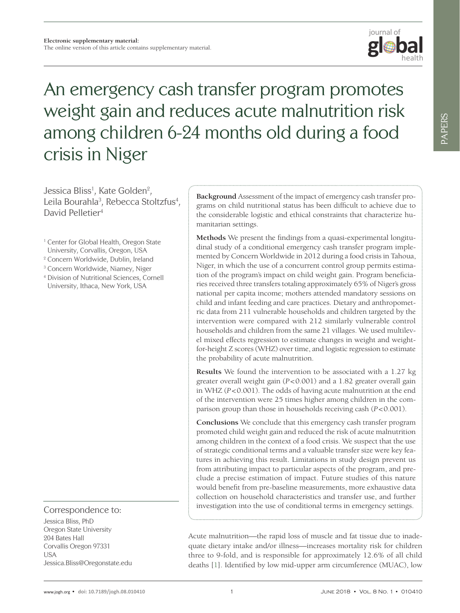

# An emergency cash transfer program promotes weight gain and reduces acute malnutrition risk among children 6-24 months old during a food crisis in Niger

Jessica Bliss<sup>1</sup>, Kate Golden<sup>2</sup>, Leila Bourahla<sup>3</sup>, Rebecca Stoltzfus<sup>4</sup>, David Pelletier4

- <sup>1</sup> Center for Global Health, Oregon State University, Corvallis, Oregon, USA
- 2 Concern Worldwide, Dublin, Ireland
- <sup>3</sup> Concern Worldwide, Niamey, Niger
- <sup>4</sup> Division of Nutritional Sciences, Cornell University, Ithaca, New York, USA

Correspondence to:

Jessica Bliss, PhD Oregon State University 204 Bates Hall Corvallis Oregon 97331 **I** ISA Jessica.Bliss@Oregonstate.edu **Background** Assessment of the impact of emergency cash transfer programs on child nutritional status has been difficult to achieve due to the considerable logistic and ethical constraints that characterize humanitarian settings.

**Methods** We present the findings from a quasi-experimental longitudinal study of a conditional emergency cash transfer program implemented by Concern Worldwide in 2012 during a food crisis in Tahoua, Niger, in which the use of a concurrent control group permits estimation of the program's impact on child weight gain. Program beneficiaries received three transfers totaling approximately 65% of Niger's gross national per capita income; mothers attended mandatory sessions on child and infant feeding and care practices. Dietary and anthropometric data from 211 vulnerable households and children targeted by the intervention were compared with 212 similarly vulnerable control households and children from the same 21 villages. We used multilevel mixed effects regression to estimate changes in weight and weightfor-height Z scores (WHZ) over time, and logistic regression to estimate the probability of acute malnutrition.

**Results** We found the intervention to be associated with a 1.27 kg greater overall weight gain (*P*<0.001) and a 1.82 greater overall gain in WHZ (*P*<0.001). The odds of having acute malnutrition at the end of the intervention were 25 times higher among children in the comparison group than those in households receiving cash (*P*<0.001).

**Conclusions** We conclude that this emergency cash transfer program promoted child weight gain and reduced the risk of acute malnutrition among children in the context of a food crisis. We suspect that the use of strategic conditional terms and a valuable transfer size were key features in achieving this result. Limitations in study design prevent us from attributing impact to particular aspects of the program, and preclude a precise estimation of impact. Future studies of this nature would benefit from pre-baseline measurements, more exhaustive data collection on household characteristics and transfer use, and further investigation into the use of conditional terms in emergency settings.

Acute malnutrition—the rapid loss of muscle and fat tissue due to inadequate dietary intake and/or illness—increases mortality risk for children three to 9-fold, and is responsible for approximately 12.6% of all child deaths [[1](#page-9-0)]. Identified by low mid-upper arm circumference (MUAC), low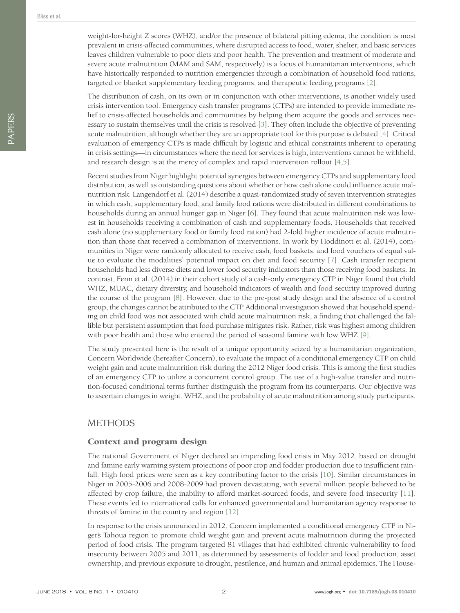PAPERS

PAPERS

weight-for-height Z scores (WHZ), and/or the presence of bilateral pitting edema, the condition is most prevalent in crisis-affected communities, where disrupted access to food, water, shelter, and basic services leaves children vulnerable to poor diets and poor health. The prevention and treatment of moderate and severe acute malnutrition (MAM and SAM, respectively) is a focus of humanitarian interventions, which have historically responded to nutrition emergencies through a combination of household food rations, targeted or blanket supplementary feeding programs, and therapeutic feeding programs [[2\]](#page-9-1).

The distribution of cash, on its own or in conjunction with other interventions, is another widely used crisis intervention tool. Emergency cash transfer programs (CTPs) are intended to provide immediate relief to crisis-affected households and communities by helping them acquire the goods and services necessary to sustain themselves until the crisis is resolved [[3](#page-9-2)]. They often include the objective of preventing acute malnutrition, although whether they are an appropriate tool for this purpose is debated [\[4](#page-9-3)]. Critical evaluation of emergency CTPs is made difficult by logistic and ethical constraints inherent to operating in crisis settings—in circumstances where the need for services is high, interventions cannot be withheld, and research design is at the mercy of complex and rapid intervention rollout [[4](#page-9-3),[5](#page-9-4)].

Recent studies from Niger highlight potential synergies between emergency CTPs and supplementary food distribution, as well as outstanding questions about whether or how cash alone could influence acute malnutrition risk. Langendorf et al. (2014) describe a quasi-randomized study of seven intervention strategies in which cash, supplementary food, and family food rations were distributed in different combinations to households during an annual hunger gap in Niger [[6](#page-10-0)]. They found that acute malnutrition risk was lowest in households receiving a combination of cash and supplementary foods. Households that received cash alone (no supplementary food or family food ration) had 2-fold higher incidence of acute malnutrition than those that received a combination of interventions. In work by Hoddinott et al. (2014), communities in Niger were randomly allocated to receive cash, food baskets, and food vouchers of equal value to evaluate the modalities' potential impact on diet and food security [[7](#page-10-1)]. Cash transfer recipient households had less diverse diets and lower food security indicators than those receiving food baskets. In contrast, Fenn et al. (2014) in their cohort study of a cash-only emergency CTP in Niger found that child WHZ, MUAC, dietary diversity, and household indicators of wealth and food security improved during the course of the program [\[8](#page-10-2)]. However, due to the pre-post study design and the absence of a control group, the changes cannot be attributed to the CTP. Additional investigation showed that household spending on child food was not associated with child acute malnutrition risk, a finding that challenged the fallible but persistent assumption that food purchase mitigates risk. Rather, risk was highest among children with poor health and those who entered the period of seasonal famine with low WHZ [\[9\]](#page-10-3).

The study presented here is the result of a unique opportunity seized by a humanitarian organization, Concern Worldwide (hereafter Concern), to evaluate the impact of a conditional emergency CTP on child weight gain and acute malnutrition risk during the 2012 Niger food crisis. This is among the first studies of an emergency CTP to utilize a concurrent control group. The use of a high-value transfer and nutrition-focused conditional terms further distinguish the program from its counterparts. Our objective was to ascertain changes in weight, WHZ, and the probability of acute malnutrition among study participants.

# **METHODS**

## Context and program design

The national Government of Niger declared an impending food crisis in May 2012, based on drought and famine early warning system projections of poor crop and fodder production due to insufficient rainfall. High food prices were seen as a key contributing factor to the crisis [[10](#page-10-4)]. Similar circumstances in Niger in 2005-2006 and 2008-2009 had proven devastating, with several million people believed to be affected by crop failure, the inability to afford market-sourced foods, and severe food insecurity [[11](#page-10-5)]. These events led to international calls for enhanced governmental and humanitarian agency response to threats of famine in the country and region [[12](#page-10-6)].

In response to the crisis announced in 2012, Concern implemented a conditional emergency CTP in Niger's Tahoua region to promote child weight gain and prevent acute malnutrition during the projected period of food crisis. The program targeted 81 villages that had exhibited chronic vulnerability to food insecurity between 2005 and 2011, as determined by assessments of fodder and food production, asset ownership, and previous exposure to drought, pestilence, and human and animal epidemics. The House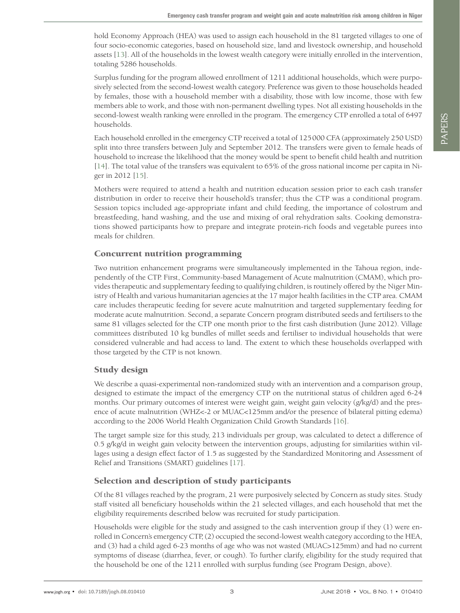hold Economy Approach (HEA) was used to assign each household in the 81 targeted villages to one of four socio-economic categories, based on household size, land and livestock ownership, and household assets [[13](#page-10-7)]. All of the households in the lowest wealth category were initially enrolled in the intervention, totaling 5286 households.

Surplus funding for the program allowed enrollment of 1211 additional households, which were purposively selected from the second-lowest wealth category. Preference was given to those households headed by females, those with a household member with a disability, those with low income, those with few members able to work, and those with non-permanent dwelling types. Not all existing households in the second-lowest wealth ranking were enrolled in the program. The emergency CTP enrolled a total of 6497 households.

Each household enrolled in the emergency CTP received a total of 125000 CFA (approximately 250 USD) split into three transfers between July and September 2012. The transfers were given to female heads of household to increase the likelihood that the money would be spent to benefit child health and nutrition [\[14](#page-10-8)]. The total value of the transfers was equivalent to 65% of the gross national income per capita in Niger in 2012 [[15](#page-10-9)].

Mothers were required to attend a health and nutrition education session prior to each cash transfer distribution in order to receive their household's transfer; thus the CTP was a conditional program. Session topics included age-appropriate infant and child feeding, the importance of colostrum and breastfeeding, hand washing, and the use and mixing of oral rehydration salts. Cooking demonstrations showed participants how to prepare and integrate protein-rich foods and vegetable purees into meals for children.

## Concurrent nutrition programming

Two nutrition enhancement programs were simultaneously implemented in the Tahoua region, independently of the CTP. First, Community-based Management of Acute malnutrition (CMAM), which provides therapeutic and supplementary feeding to qualifying children, is routinely offered by the Niger Ministry of Health and various humanitarian agencies at the 17 major health facilities in the CTP area. CMAM care includes therapeutic feeding for severe acute malnutrition and targeted supplementary feeding for moderate acute malnutrition. Second, a separate Concern program distributed seeds and fertilisers to the same 81 villages selected for the CTP one month prior to the first cash distribution (June 2012). Village committees distributed 10 kg bundles of millet seeds and fertiliser to individual households that were considered vulnerable and had access to land. The extent to which these households overlapped with those targeted by the CTP is not known.

## Study design

We describe a quasi-experimental non-randomized study with an intervention and a comparison group, designed to estimate the impact of the emergency CTP on the nutritional status of children aged 6-24 months. Our primary outcomes of interest were weight gain, weight gain velocity (g/kg/d) and the presence of acute malnutrition (WHZ<-2 or MUAC<125mm and/or the presence of bilateral pitting edema) according to the 2006 World Health Organization Child Growth Standards [\[16](#page-10-10)].

The target sample size for this study, 213 individuals per group, was calculated to detect a difference of  $0.5$  g/kg/d in weight gain velocity between the intervention groups, adjusting for similarities within villages using a design effect factor of 1.5 as suggested by the Standardized Monitoring and Assessment of Relief and Transitions (SMART) guidelines [\[17](#page-10-11)].

## Selection and description of study participants

Of the 81 villages reached by the program, 21 were purposively selected by Concern as study sites. Study staff visited all beneficiary households within the 21 selected villages, and each household that met the eligibility requirements described below was recruited for study participation.

Households were eligible for the study and assigned to the cash intervention group if they (1) were enrolled in Concern's emergency CTP, (2) occupied the second-lowest wealth category according to the HEA, and (3) had a child aged 6-23 months of age who was not wasted (MUAC>125mm) and had no current symptoms of disease (diarrhea, fever, or cough). To further clarify, eligibility for the study required that the household be one of the 1211 enrolled with surplus funding (see Program Design, above).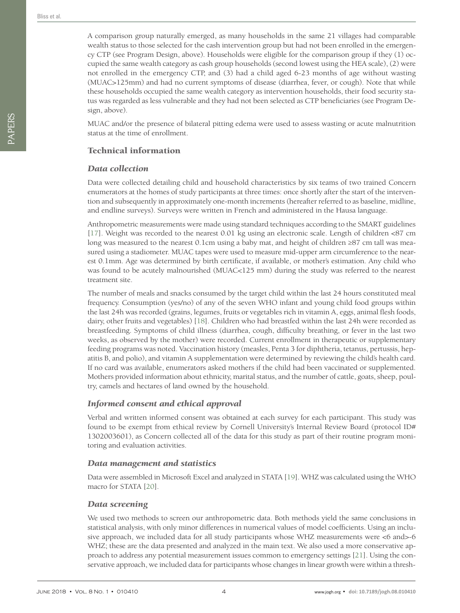A comparison group naturally emerged, as many households in the same 21 villages had comparable wealth status to those selected for the cash intervention group but had not been enrolled in the emergency CTP (see Program Design, above). Households were eligible for the comparison group if they (1) occupied the same wealth category as cash group households (second lowest using the HEA scale), (2) were not enrolled in the emergency CTP, and (3) had a child aged 6-23 months of age without wasting (MUAC>125mm) and had no current symptoms of disease (diarrhea, fever, or cough). Note that while these households occupied the same wealth category as intervention households, their food security status was regarded as less vulnerable and they had not been selected as CTP beneficiaries (see Program Design, above).

MUAC and/or the presence of bilateral pitting edema were used to assess wasting or acute malnutrition status at the time of enrollment.

#### Technical information

#### *Data collection*

Data were collected detailing child and household characteristics by six teams of two trained Concern enumerators at the homes of study participants at three times: once shortly after the start of the intervention and subsequently in approximately one-month increments (hereafter referred to as baseline, midline, and endline surveys). Surveys were written in French and administered in the Hausa language.

Anthropometric measurements were made using standard techniques according to the SMART guidelines [[17](#page-10-11)]. Weight was recorded to the nearest 0.01 kg using an electronic scale. Length of children <87 cm long was measured to the nearest 0.1cm using a baby mat, and height of children ≥87 cm tall was measured using a stadiometer. MUAC tapes were used to measure mid-upper arm circumference to the nearest 0.1mm. Age was determined by birth certificate, if available, or mother's estimation. Any child who was found to be acutely malnourished (MUAC<125 mm) during the study was referred to the nearest treatment site.

The number of meals and snacks consumed by the target child within the last 24 hours constituted meal frequency. Consumption (yes/no) of any of the seven WHO infant and young child food groups within the last 24h was recorded (grains, legumes, fruits or vegetables rich in vitamin A, eggs, animal flesh foods, dairy, other fruits and vegetables) [[18](#page-10-12)]. Children who had breastfed within the last 24h were recorded as breastfeeding. Symptoms of child illness (diarrhea, cough, difficulty breathing, or fever in the last two weeks, as observed by the mother) were recorded. Current enrollment in therapeutic or supplementary feeding programs was noted. Vaccination history (measles, Penta 3 for diphtheria, tetanus, pertussis, hepatitis B, and polio), and vitamin A supplementation were determined by reviewing the child's health card. If no card was available, enumerators asked mothers if the child had been vaccinated or supplemented. Mothers provided information about ethnicity, marital status, and the number of cattle, goats, sheep, poultry, camels and hectares of land owned by the household.

#### *Informed consent and ethical approval*

Verbal and written informed consent was obtained at each survey for each participant. This study was found to be exempt from ethical review by Cornell University's Internal Review Board (protocol ID# 1302003601), as Concern collected all of the data for this study as part of their routine program monitoring and evaluation activities.

#### *Data management and statistics*

Data were assembled in Microsoft Excel and analyzed in STATA [[19](#page-10-13)]. WHZ was calculated using the WHO macro for STATA [[20\]](#page-10-14).

#### *Data screening*

We used two methods to screen our anthropometric data. Both methods yield the same conclusions in statistical analysis, with only minor differences in numerical values of model coefficients. Using an inclusive approach, we included data for all study participants whose WHZ measurements were <6 and>-6 WHZ; these are the data presented and analyzed in the main text. We also used a more conservative approach to address any potential measurement issues common to emergency settings [[21](#page-10-15)]. Using the conservative approach, we included data for participants whose changes in linear growth were within a thresh-

PAPERS

PAPERS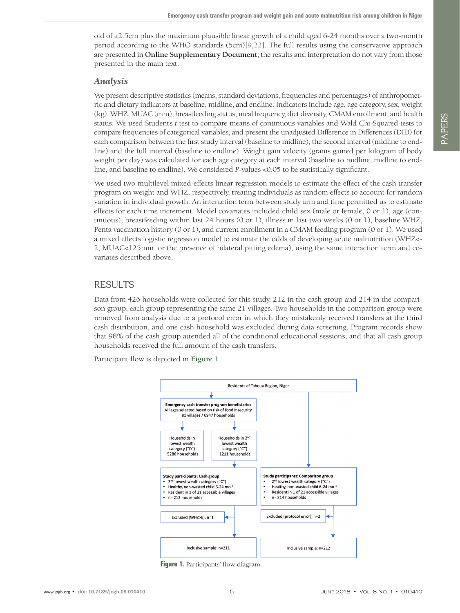old of  $\pm$ 2.5cm plus the maximum plausible linear growth of a child aged 6-24 months over a two-month period according to the WHO standards (5cm)[[9](#page-10-3),[22](#page-10-16)]. The full results using the conservative approach are presented in **Online Supplementary Document**; the results and interpretation do not vary from those presented in the main text.

#### *Analysis*

We present descriptive statistics (means, standard deviations, frequencies and percentages) of anthropometric and dietary indicators at baseline, midline, and endline. Indicators include age, age category, sex, weight (kg), WHZ, MUAC (mm), breastfeeding status, meal frequency, diet diversity, CMAM enrollment, and health status. We used Student's *t* test to compare means of continuous variables and Wald Chi-Squared tests to compare frequencies of categorical variables, and present the unadjusted Difference in Differences (DID) for each comparison between the first study interval (baseline to midline), the second interval (midline to endline) and the full interval (baseline to endline). Weight gain velocity (grams gained per kilogram of body weight per day) was calculated for each age category at each interval (baseline to midline, midline to endline, and baseline to endline). We considered *P-*values <0.05 to be statistically significant.

We used two multilevel mixed-effects linear regression models to estimate the effect of the cash transfer program on weight and WHZ, respectively, treating individuals as random effects to account for random variation in individual growth. An interaction term between study arm and time permitted us to estimate effects for each time increment. Model covariates included child sex (male or female, 0 or 1), age (continuous), breastfeeding within last 24 hours (0 or 1), illness in last two weeks (0 or 1), baseline WHZ, Penta vaccination history (0 or 1), and current enrollment in a CMAM feeding program (0 or 1). We used a mixed effects logistic regression model to estimate the odds of developing acute malnutrition (WHZ<- 2, MUAC<125mm, or the presence of bilateral pitting edema), using the same interaction term and covariates described above.

# RESULTS

Data from 426 households were collected for this study, 212 in the cash group and 214 in the comparison group, each group representing the same 21 villages. Two households in the comparison group were removed from analysis due to a protocol error in which they mistakenly received transfers at the third cash distribution, and one cash household was excluded during data screening. Program records show that 98% of the cash group attended all of the conditional educational sessions, and that all cash group households received the full amount of the cash transfers.

<span id="page-4-0"></span>Participant flow is depicted in **[Figure 1](#page-4-0)**.



**Figure 1.** Participants' flow diagram.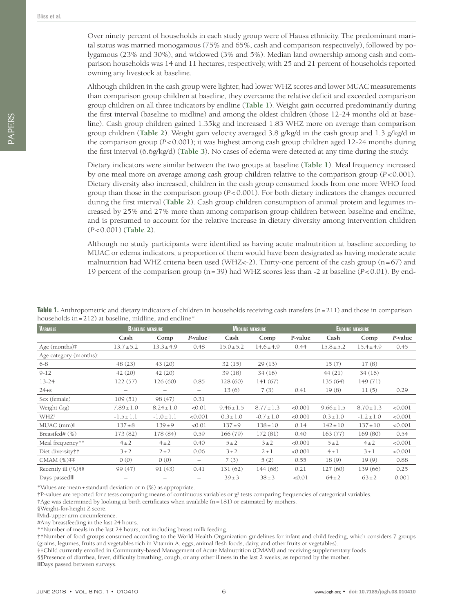PAPERS

PAPERS

Over ninety percent of households in each study group were of Hausa ethnicity. The predominant marital status was married monogamous (75% and 65%, cash and comparison respectively), followed by polygamous (23% and 30%), and widowed (3% and 5%). Median land ownership among cash and comparison households was 14 and 11 hectares, respectively, with 25 and 21 percent of households reported owning any livestock at baseline.

Although children in the cash group were lighter, had lower WHZ scores and lower MUAC measurements than comparison group children at baseline, they overcame the relative deficit and exceeded comparison group children on all three indicators by endline (**[Table 1](#page-5-0)**). Weight gain occurred predominantly during the first interval (baseline to midline) and among the oldest children (those 12-24 months old at baseline). Cash group children gained 1.35kg and increased 1.83 WHZ more on average than comparison group children (**[Table 2](#page-6-0)**). Weight gain velocity averaged 3.8 g/kg/d in the cash group and 1.3 g/kg/d in the comparison group (*P*<0.001); it was highest among cash group children aged 12-24 months during the first interval (6.6g/kg/d) (**[Table 3](#page-6-1)**). No cases of edema were detected at any time during the study.

Dietary indicators were similar between the two groups at baseline (**[Table 1](#page-5-0)**). Meal frequency increased by one meal more on average among cash group children relative to the comparison group (*P*<0.001). Dietary diversity also increased; children in the cash group consumed foods from one more WHO food group than those in the comparison group (*P*<0.001). For both dietary indicators the changes occurred during the first interval (**[Table 2](#page-6-0)**). Cash group children consumption of animal protein and legumes increased by 25% and 27% more than among comparison group children between baseline and endline, and is presumed to account for the relative increase in dietary diversity among intervention children (*P*<0.001) (**[Table 2](#page-6-0)**).

Although no study participants were identified as having acute malnutrition at baseline according to MUAC or edema indicators, a proportion of them would have been designated as having moderate acute malnutrition had WHZ criteria been used (WHZ<-2). Thirty-one percent of the cash group ( $n=67$ ) and 19 percent of the comparison group (n=39) had WHZ scores less than -2 at baseline (*P*<0.01). By end-

| <b>VARIABLE</b>        | <b>BASELINE MEASURE</b> |                          | <b>MIDLINE MEASURE</b> |                |                |         | <b>ENDLINE MEASURE</b> |                |         |
|------------------------|-------------------------|--------------------------|------------------------|----------------|----------------|---------|------------------------|----------------|---------|
|                        | Cash                    | Comp                     | P-value†               | Cash           | Comp           | P-value | Cash                   | Comp           | P-value |
| Age (months)#          | $13.7 \pm 5.2$          | $13.3 \pm 4.9$           | 0.48                   | $15.0 \pm 5.2$ | $14.6 \pm 4.9$ | 0.44    | $15.8 \pm 5.2$         | $15.4 \pm 4.9$ | 0.45    |
| Age category (months): |                         |                          |                        |                |                |         |                        |                |         |
| $6 - 8$                | 48 (23)                 | 43 (20)                  |                        | 32(15)         | 29(13)         |         | 15(7)                  | 17(8)          |         |
| $9 - 12$               | 42(20)                  | 42(20)                   |                        | 39(18)         | 34(16)         |         | 44(21)                 | 34(16)         |         |
| $13 - 24$              | 122(57)                 | 126(60)                  | 0.85                   | 128 (60)       | 141(67)        |         | 135(64)                | 149 (71)       |         |
| $24 + s$               |                         | $\overline{\phantom{0}}$ | —                      | 13(6)          | 7(3)           | 0.41    | 19(8)                  | 11(5)          | 0.29    |
| Sex (female)           | 109(51)                 | 98 (47)                  | 0.31                   |                |                |         |                        |                |         |
| Weight (kg)            | $7.89 \pm 1.0$          | $8.24 \pm 1.0$           | < 0.01                 | $9.46 \pm 1.5$ | $8.77 \pm 1.3$ | < 0.001 | $9.66 \pm 1.5$         | $8.70 \pm 1.3$ | < 0.001 |
| WHZ <sup>§</sup>       | $-1.5 \pm 1.1$          | $-1.0 \pm 1.1$           | < 0.001                | $0.3 \pm 1.0$  | $-0.7 \pm 1.0$ | < 0.001 | $0.3 \pm 1.0$          | $-1.2 \pm 1.0$ | < 0.001 |
| $MUAC$ (mm)            | $137 + 8$               | $139 + 9$                | < 0.01                 | $137 + 9$      | $138 \pm 10$   | 0.14    | $142 \pm 10$           | $137 \pm 10$   | < 0.001 |
| Breastfed# (%)         | 173 (82)                | 178 (84)                 | 0.59                   | 166 (79)       | 172 (81)       | 0.40    | 163(77)                | 169 (80)       | 0.54    |
| Meal frequency**       | $4\pm2$                 | $4\pm 2$                 | 0.40                   | $5 \pm 2$      | $3 \pm 2$      | < 0.001 | $5 \pm 2$              | $4\pm 2$       | < 0.001 |
| Diet diversity††       | $3\pm2$                 | $2 \pm 2$                | 0.06                   | $3\pm2$        | $2 \pm 1$      | < 0.001 | $4 \pm 1$              | $3 \pm 1$      | < 0.001 |
| $CMAM (%)$ ##          | 0(0)                    | 0(0)                     | -                      | 7(3)           | 5(2)           | 0.55    | 18(9)                  | 19(9)          | 0.88    |
| Recently ill (%)§§     | 99 (47)                 | 91(43)                   | 0.41                   | 131(62)        | 144(68)        | 0.21    | 127(60)                | 139 (66)       | 0.25    |
| Days passed III        | -                       |                          |                        | $39 \pm 3$     | $38 \pm 3$     | < 0.01  | $64 \pm 2$             | $63 \pm 2$     | 0.001   |

<span id="page-5-0"></span>**Table 1.** Anthropometric and dietary indicators of children in households receiving cash transfers (n=211) and those in comparison households  $(n=212)$  at baseline, midline, and endline $*$ 

\*Values are mean±standard deviation or n (%) as appropriate.

†P-values are reported for *t* tests comparing means of continuous variables or  $\chi^2$  tests comparing frequencies of categorical variables.

‡Age was determined by looking at birth certificates when available (n=181) or estimated by mothers.

§Weight-for-height Z score.

‖Mid-upper arm circumference.

#Any breastfeeding in the last 24 hours.

\*\*Number of meals in the last 24 hours, not including breast milk feeding.

††Number of food groups consumed according to the World Health Organization guidelines for infant and child feeding, which considers 7 groups (grains, legumes, fruits and vegetables rich in Vitamin A, eggs, animal flesh foods, dairy, and other fruits or vegetables).

‡‡Child currently enrolled in Community-based Management of Acute Malnutrition (CMAM) and receiving supplementary foods

§§Presence of diarrhea, fever, difficulty breathing, cough, or any other illness in the last 2 weeks, as reported by the mother.

‖‖Days passed between surveys.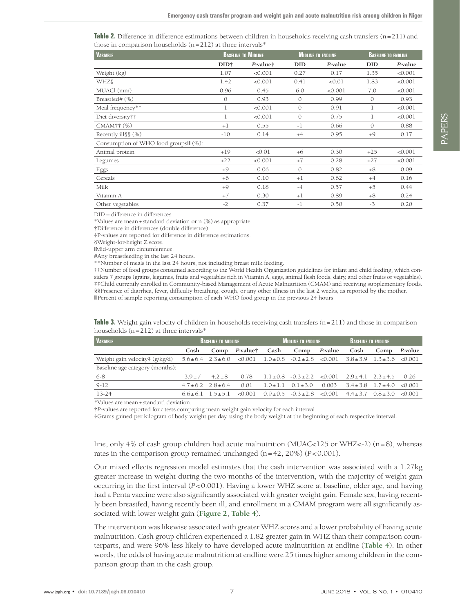<span id="page-6-0"></span>**Table 2.** Difference in difference estimations between children in households receiving cash transfers (n=211) and those in comparison households  $(n=212)$  at three intervals\*

| <b>VARIABLE</b>                        |                  | <b>BASELINE TO MIDLINE</b> |               | <b>MIDLINE TO ENDLINE</b> |               | <b>BASELINE TO ENDLINE</b> |
|----------------------------------------|------------------|----------------------------|---------------|---------------------------|---------------|----------------------------|
|                                        | DID <sup>+</sup> | $P-value$ #                | <b>DID</b>    | P-value                   | DID           | P-value                    |
| Weight (kg)                            | 1.07             | < 0.001                    | 0.27          | 0.17                      | 1.35          | < 0.001                    |
| <b>WHZ</b> §                           | 1.42             | < 0.001                    | 0.41          | < 0.01                    | 1.83          | < 0.001                    |
| MUACI (mm)                             | 0.96             | 0.45                       | 6.0           | < 0.001                   | 7.0           | < 0.001                    |
| Breastfed# (%)                         | $\mathcal{O}$    | 0.93                       | $\mathcal{O}$ | 0.99                      | $\mathcal{O}$ | 0.93                       |
| Meal frequency**                       | 1                | < 0.001                    | $\mathcal{O}$ | 0.91                      | 1             | < 0.001                    |
| Diet diversity††                       | 1                | < 0.001                    | $\mathcal{O}$ | 0.75                      | 1             | < 0.001                    |
| $CMAM$ ## $(%)$                        | $+1$             | 0.55                       | $-1$          | 0.66                      | $\mathcal{O}$ | 0.88                       |
| Recently ill§§ (%)                     | $-10$            | 0.14                       | $+4$          | 0.95                      | $+9$          | 0.17                       |
| Consumption of WHO food groups II (%): |                  |                            |               |                           |               |                            |
| Animal protein                         | $+19$            | < 0.01                     | $+6$          | 0.30                      | $+25$         | < 0.001                    |
| Legumes                                | $+22$            | < 0.001                    | $+7$          | 0.28                      | $+27$         | < 0.001                    |
| Eggs                                   | $+9$             | 0.06                       | $\Omega$      | 0.82                      | $+8$          | 0.09                       |
| Cereals                                | $+6$             | 0.10                       | $+1$          | 0.62                      | $+4$          | 0.16                       |
| Milk                                   | $+9$             | 0.18                       | $-4$          | 0.57                      | $+5$          | 0.44                       |
| Vitamin A                              | $+7$             | 0.30                       | $+1$          | 0.89                      | $+8$          | 0.24                       |
| Other vegetables                       | $-2$             | 0.37                       | $-1$          | 0.50                      | $-3$          | 0.20                       |

DID – difference in differences

\*Values are mean±standard deviation or n (%) as appropriate.

†Difference in differences (double difference).

‡P-values are reported for difference in difference estimations.

§Weight-for-height Z score.

‖Mid-upper arm circumference.

#Any breastfeeding in the last 24 hours.

\*\*Number of meals in the last 24 hours, not including breast milk feeding.

††Number of food groups consumed according to the World Health Organization guidelines for infant and child feeding, which considers 7 groups (grains, legumes, fruits and vegetables rich in Vitamin A, eggs, animal flesh foods, dairy, and other fruits or vegetables). ‡‡Child currently enrolled in Community-based Management of Acute Malnutrition (CMAM) and receiving supplementary foods. §§Presence of diarrhea, fever, difficulty breathing, cough, or any other illness in the last 2 weeks, as reported by the mother. ‖‖Percent of sample reporting consumption of each WHO food group in the previous 24 hours.

<span id="page-6-1"></span>

| <b>Table 3.</b> Weight gain velocity of children in households receiving cash transfers $(n=211)$ and those in comparison |
|---------------------------------------------------------------------------------------------------------------------------|
| households (n=212) at three intervals*_                                                                                   |

| <b>VARIABLE</b>                 | <b>BASELINE TO MIDLINE</b> |                             |          | MIDLINE TO ENDLINE A |                                           |         | BASELINE TO ENDLINE.               |                                    |         |
|---------------------------------|----------------------------|-----------------------------|----------|----------------------|-------------------------------------------|---------|------------------------------------|------------------------------------|---------|
|                                 | Cash                       | Comp                        | P-value† | Cash                 | Comp                                      | P-value | Cash                               | Comp                               | P-value |
| Weight gain velocity‡ (g/kg/d)  |                            | $5.6 \pm 6.4$ $2.3 \pm 6.0$ | < 0.001  |                      | $1.0 \pm 0.8$ $-0.2 \pm 2.8$ $\leq 0.001$ |         | $3.8 \pm 3.9$ $1.3 \pm 3.6$ <0.001 |                                    |         |
| Baseline age category (months): |                            |                             |          |                      |                                           |         |                                    |                                    |         |
| 6-8                             | $3.9 \pm 7$                | $4.2 + 8$                   | 0.78     |                      | $1.1 \pm 0.8$ $-0.3 \pm 2.2$ $< 0.001$    |         | $2.9 \pm 4.1$ $2.3 \pm 4.5$        |                                    | 0.26    |
| $9-12$                          |                            | $4.7 \pm 6.2$ $2.8 \pm 6.4$ | 0.01     | $1.0 + 1.1$          | $0.1 + 3.0$                               | 0.003   |                                    | $3.4 \pm 3.8$ $1.7 \pm 4.0$ <0.001 |         |
| $13 - 24$                       | $6.6+6.1$ $1.5+5.1$        |                             | < 0.001  |                      | $0.9 \pm 0.5$ $-0.3 \pm 2.8$ $< 0.001$    |         |                                    | $4.4+3.7$ $0.8+3.0$ <0.001         |         |
| $\sim$ $  +$<br>.               |                            |                             |          |                      |                                           |         |                                    |                                    |         |

\*Values are mean±standard deviation.

†*P*-values are reported for *t* tests comparing mean weight gain velocity for each interval.

‡Grams gained per kilogram of body weight per day, using the body weight at the beginning of each respective interval.

line, only 4% of cash group children had acute malnutrition (MUAC<125 or WHZ<-2) (n=8), whereas rates in the comparison group remained unchanged (n=42, 20%) (*P*<0.001).

Our mixed effects regression model estimates that the cash intervention was associated with a 1.27kg greater increase in weight during the two months of the intervention, with the majority of weight gain occurring in the first interval (*P*<0.001). Having a lower WHZ score at baseline, older age, and having had a Penta vaccine were also significantly associated with greater weight gain. Female sex, having recently been breastfed, having recently been ill, and enrollment in a CMAM program were all significantly associated with lower weight gain (**[Figure 2](#page-7-0)**, **[Table 4](#page-7-1)**).

The intervention was likewise associated with greater WHZ scores and a lower probability of having acute malnutrition. Cash group children experienced a 1.82 greater gain in WHZ than their comparison counterparts, and were 96% less likely to have developed acute malnutrition at endline (**[Table 4](#page-7-1)**). In other words, the odds of having acute malnutrition at endline were 25 times higher among children in the comparison group than in the cash group.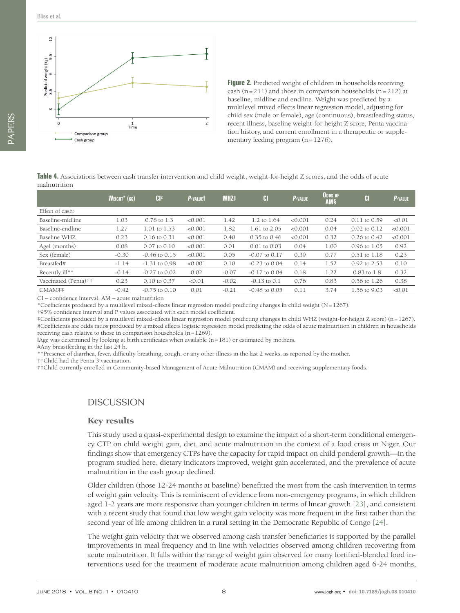<span id="page-7-0"></span>

**Figure 2.** Predicted weight of children in households receiving cash  $(n=211)$  and those in comparison households  $(n=212)$  at baseline, midline and endline. Weight was predicted by a multilevel mixed effects linear regression model, adjusting for child sex (male or female), age (continuous), breastfeeding status, recent illness, baseline weight-for-height Z score, Penta vaccination history, and current enrollment in a therapeutic or supplementary feeding program (n=1276).

<span id="page-7-1"></span>**Table 4.** Associations between cash transfer intervention and child weight, weight-for-height Z scores, and the odds of acute malnutrition

|                      | WEIGHT <sup>*</sup> (KG) | Cl <sup>2</sup>         | P-VALUET | WHZ <sup>‡</sup> | <b>CI</b>         | P-VALUE | ODDS OF<br><b>AMS</b> | <b>CI</b>               | <b>P-VALUE</b> |
|----------------------|--------------------------|-------------------------|----------|------------------|-------------------|---------|-----------------------|-------------------------|----------------|
| Effect of cash:      |                          |                         |          |                  |                   |         |                       |                         |                |
| Baseline-midline     | 1.03                     | 0.78 to 1.3             | < 0.001  | 1.42             | 1.2 to 1.64       | < 0.001 | 0.24                  | $0.11$ to $0.59$        | < 0.01         |
| Baseline-endline     | 1.27                     | $1.01$ to $1.53$        | < 0.001  | 1.82             | 1.61 to 2.05      | < 0.001 | 0.04                  | $0.02$ to $0.12$        | < 0.001        |
| Baseline WHZ         | 0.23                     | $0.16$ to $0.31$        | < 0.001  | 0.40             | $0.35$ to $0.46$  | < 0.001 | 0.32                  | $0.26$ to $0.42$        | < 0.001        |
| Agel (months)        | 0.08                     | $0.07$ to $0.10$        | < 0.001  | 0.01             | $0.01$ to $0.03$  | 0.04    | 1.00                  | $0.96 \text{ to } 1.05$ | 0.92           |
| Sex (female)         | $-0.30$                  | $-0.46$ to $0.15$       | < 0.001  | 0.05             | $-0.07$ to $0.17$ | 0.39    | 0.77                  | $0.51$ to $1.18$        | 0.23           |
| Breastfed#           | $-1.14$                  | $-1.31$ to 0.98         | < 0.001  | 0.10             | $-0.23$ to $0.04$ | 0.14    | 1.52                  | $0.92$ to $2.53$        | 0.10           |
| Recently ill**       | $-0.14$                  | $-0.27$ to $0.02$       | 0.02     | $-0.07$          | $-0.17$ to $0.04$ | 0.18    | 1.22                  | $0.83$ to $1.8$         | 0.32           |
| Vaccinated (Penta)†† | 0.23                     | $0.10 \text{ to } 0.37$ | < 0.01   | $-0.02$          | $-0.13$ to $0.1$  | 0.76    | 0.83                  | $0.56$ to $1.26$        | 0.38           |
| CMAM##               | $-0.42$                  | $-0.75$ to $0.10$       | 0.01     | $-0.21$          | $-0.48$ to $0.05$ | 0.11    | 3.74                  | 1.56 to 9.03            | < 0.01         |
| $\sim$ 1             | $\cdots$                 |                         |          |                  |                   |         |                       |                         |                |

CI – confidence interval, AM – acute malnutrition

\*Coefficients produced by a multilevel mixed-effects linear regression model predicting changes in child weight (N=1267).

†95% confidence interval and P values associated with each model coefficient.

‡Coefficients produced by a multilevel mixed-effects linear regression model predicting changes in child WHZ (weight-for-height Z score) (n=1267). §Coefficients are odds ratios produced by a mixed effects logistic regression model predicting the odds of acute malnutrition in children in households receiving cash relative to those in comparison households  $(n=1269)$ .

‖Age was determined by looking at birth certificates when available (n=181) or estimated by mothers.

#Any breastfeeding in the last 24 h.

\*\*Presence of diarrhea, fever, difficulty breathing, cough, or any other illness in the last 2 weeks, as reported by the mother.

††Child had the Penta 3 vaccination.

‡‡Child currently enrolled in Community-based Management of Acute Malnutrition (CMAM) and receiving supplementary foods.

## **DISCUSSION**

#### Key results

This study used a quasi-experimental design to examine the impact of a short-term conditional emergency CTP on child weight gain, diet, and acute malnutrition in the context of a food crisis in Niger. Our findings show that emergency CTPs have the capacity for rapid impact on child ponderal growth—in the program studied here, dietary indicators improved, weight gain accelerated, and the prevalence of acute malnutrition in the cash group declined.

Older children (those 12-24 months at baseline) benefitted the most from the cash intervention in terms of weight gain velocity. This is reminiscent of evidence from non-emergency programs, in which children aged 1-2 years are more responsive than younger children in terms of linear growth [[23\]](#page-10-17), and consistent with a recent study that found that low weight gain velocity was more frequent in the first rather than the second year of life among children in a rural setting in the Democratic Republic of Congo [\[24\]](#page-10-18).

The weight gain velocity that we observed among cash transfer beneficiaries is supported by the parallel improvements in meal frequency and in line with velocities observed among children recovering from acute malnutrition. It falls within the range of weight gain observed for many fortified-blended food interventions used for the treatment of moderate acute malnutrition among children aged 6-24 months,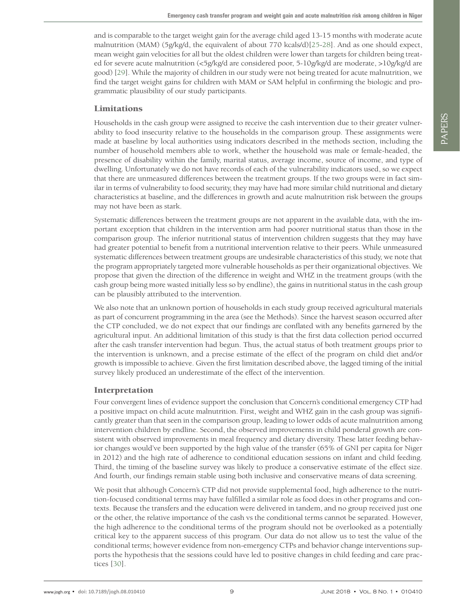and is comparable to the target weight gain for the average child aged 13-15 months with moderate acute malnutrition (MAM) (5g/kg/d, the equivalent of about 770 kcals/d)[\[25](#page-10-19)[-28](#page-10-20)]. And as one should expect, mean weight gain velocities for all but the oldest children were lower than targets for children being treated for severe acute malnutrition (<5g/kg/d are considered poor, 5-10g/kg/d are moderate, >10g/kg/d are good) [[29](#page-10-21)]. While the majority of children in our study were not being treated for acute malnutrition, we find the target weight gains for children with MAM or SAM helpful in confirming the biologic and programmatic plausibility of our study participants.

#### Limitations

Households in the cash group were assigned to receive the cash intervention due to their greater vulnerability to food insecurity relative to the households in the comparison group. These assignments were made at baseline by local authorities using indicators described in the methods section, including the number of household members able to work, whether the household was male or female-headed, the presence of disability within the family, marital status, average income, source of income, and type of dwelling. Unfortunately we do not have records of each of the vulnerability indicators used, so we expect that there are unmeasured differences between the treatment groups. If the two groups were in fact similar in terms of vulnerability to food security, they may have had more similar child nutritional and dietary characteristics at baseline, and the differences in growth and acute malnutrition risk between the groups may not have been as stark.

Systematic differences between the treatment groups are not apparent in the available data, with the important exception that children in the intervention arm had poorer nutritional status than those in the comparison group. The inferior nutritional status of intervention children suggests that they may have had greater potential to benefit from a nutritional intervention relative to their peers. While unmeasured systematic differences between treatment groups are undesirable characteristics of this study, we note that the program appropriately targeted more vulnerable households as per their organizational objectives. We propose that given the direction of the difference in weight and WHZ in the treatment groups (with the cash group being more wasted initially less so by endline), the gains in nutritional status in the cash group can be plausibly attributed to the intervention.

We also note that an unknown portion of households in each study group received agricultural materials as part of concurrent programming in the area (see the Methods). Since the harvest season occurred after the CTP concluded, we do not expect that our findings are conflated with any benefits garnered by the agricultural input. An additional limitation of this study is that the first data collection period occurred after the cash transfer intervention had begun. Thus, the actual status of both treatment groups prior to the intervention is unknown, and a precise estimate of the effect of the program on child diet and/or growth is impossible to achieve. Given the first limitation described above, the lagged timing of the initial survey likely produced an underestimate of the effect of the intervention.

## Interpretation

Four convergent lines of evidence support the conclusion that Concern's conditional emergency CTP had a positive impact on child acute malnutrition. First, weight and WHZ gain in the cash group was significantly greater than that seen in the comparison group, leading to lower odds of acute malnutrition among intervention children by endline. Second, the observed improvements in child ponderal growth are consistent with observed improvements in meal frequency and dietary diversity. These latter feeding behavior changes would've been supported by the high value of the transfer (65% of GNI per capita for Niger in 2012) and the high rate of adherence to conditional education sessions on infant and child feeding. Third, the timing of the baseline survey was likely to produce a conservative estimate of the effect size. And fourth, our findings remain stable using both inclusive and conservative means of data screening.

We posit that although Concern's CTP did not provide supplemental food, high adherence to the nutrition-focused conditional terms may have fulfilled a similar role as food does in other programs and contexts. Because the transfers and the education were delivered in tandem, and no group received just one or the other, the relative importance of the cash vs the conditional terms cannot be separated. However, the high adherence to the conditional terms of the program should not be overlooked as a potentially critical key to the apparent success of this program. Our data do not allow us to test the value of the conditional terms; however evidence from non-emergency CTPs and behavior change interventions supports the hypothesis that the sessions could have led to positive changes in child feeding and care practices [\[30](#page-10-22)].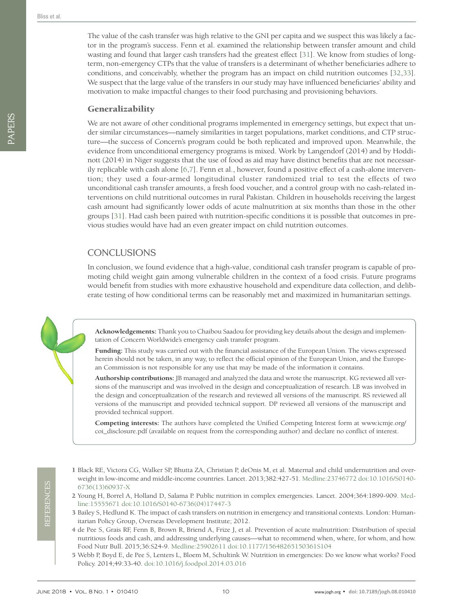The value of the cash transfer was high relative to the GNI per capita and we suspect this was likely a factor in the program's success. Fenn et al. examined the relationship between transfer amount and child wasting and found that larger cash transfers had the greatest effect [\[31](#page-10-23)]. We know from studies of longterm, non-emergency CTPs that the value of transfers is a determinant of whether beneficiaries adhere to conditions, and conceivably, whether the program has an impact on child nutrition outcomes [[32](#page-10-24),[33](#page-10-25)]. We suspect that the large value of the transfers in our study may have influenced beneficiaries' ability and motivation to make impactful changes to their food purchasing and provisioning behaviors.

#### Generalizability

We are not aware of other conditional programs implemented in emergency settings, but expect that under similar circumstances—namely similarities in target populations, market conditions, and CTP structure—the success of Concern's program could be both replicated and improved upon. Meanwhile, the evidence from unconditional emergency programs is mixed. Work by Langendorf (2014) and by Hoddinott (2014) in Niger suggests that the use of food as aid may have distinct benefits that are not necessarily replicable with cash alone [[6](#page-10-0),[7](#page-10-1)]. Fenn et al., however, found a positive effect of a cash-alone intervention; they used a four-armed longitudinal cluster randomized trial to test the effects of two unconditional cash transfer amounts, a fresh food voucher, and a control group with no cash-related interventions on child nutritional outcomes in rural Pakistan. Children in households receiving the largest cash amount had significantly lower odds of acute malnutrition at six months than those in the other groups [\[31](#page-10-23)]. Had cash been paired with nutrition-specific conditions it is possible that outcomes in previous studies would have had an even greater impact on child nutrition outcomes.

# **CONCLUSIONS**

In conclusion, we found evidence that a high-value, conditional cash transfer program is capable of promoting child weight gain among vulnerable children in the context of a food crisis. Future programs would benefit from studies with more exhaustive household and expenditure data collection, and deliberate testing of how conditional terms can be reasonably met and maximized in humanitarian settings.

**Acknowledgements:** Thank you to Chaibou Saadou for providing key details about the design and implementation of Concern Worldwide's emergency cash transfer program.

**Funding:** This study was carried out with the financial assistance of the European Union. The views expressed herein should not be taken, in any way, to reflect the official opinion of the European Union, and the European Commission is not responsible for any use that may be made of the information it contains.

**Authorship contributions:** JB managed and analyzed the data and wrote the manuscript. KG reviewed all versions of the manuscript and was involved in the design and conceptualization of research. LB was involved in the design and conceptualization of the research and reviewed all versions of the manuscript. RS reviewed all versions of the manuscript and provided technical support. DP reviewed all versions of the manuscript and provided technical support.

**Competing interests:** The authors have completed the Unified Competing Interest form at www.icmje.org/ coi\_disclosure.pdf (available on request from the corresponding author) and declare no conflict of interest.

- <span id="page-9-0"></span> 1 Black RE, Victora CG, Walker SP, Bhutta ZA, Christian P, deOnis M, et al. Maternal and child undernutrition and overweight in low-income and middle-income countries. Lancet. 2013;382:427-51. [Medline:23746772](https://www.ncbi.nlm.nih.gov/entrez/query.fcgi?cmd=Retrieve&db=PubMed&list_uids=23746772&dopt=Abstract) [doi:10.1016/S0140-](https://doi.org/10.1016/S0140-6736(13)60937-X) [6736\(13\)60937-X](https://doi.org/10.1016/S0140-6736(13)60937-X)
- <span id="page-9-1"></span> 2 Young H, Borrel A, Holland D, Salama P. Public nutrition in complex emergencies. Lancet. 2004;364:1899-909[. Med](https://www.ncbi.nlm.nih.gov/entrez/query.fcgi?cmd=Retrieve&db=PubMed&list_uids=15555671&dopt=Abstract)[line:15555671](https://www.ncbi.nlm.nih.gov/entrez/query.fcgi?cmd=Retrieve&db=PubMed&list_uids=15555671&dopt=Abstract) [doi:10.1016/S0140-6736\(04\)17447-3](https://doi.org/10.1016/S0140-6736(04)17447-3)
- <span id="page-9-2"></span> 3 Bailey S, Hedlund K. The impact of cash transfers on nutrition in emergency and transitional contexts. London: Humanitarian Policy Group, Overseas Development Institute; 2012.
- <span id="page-9-3"></span> 4 de Pee S, Grais RF, Fenn B, Brown R, Briend A, Frize J, et al. Prevention of acute malnutrition: Distribution of special nutritious foods and cash, and addressing underlying causes—what to recommend when, where, for whom, and how. Food Nutr Bull. 2015;36:S24-9[. Medline:25902611](https://www.ncbi.nlm.nih.gov/entrez/query.fcgi?cmd=Retrieve&db=PubMed&list_uids=25902611&dopt=Abstract) [doi:10.1177/15648265150361S104](https://doi.org/10.1177/15648265150361S104)
- <span id="page-9-4"></span> 5 Webb P, Boyd E, de Pee S, Lenters L, Bloem M, Schultink W. Nutrition in emergencies: Do we know what works? Food Policy. 2014;49:33-40. [doi:10.1016/j.foodpol.2014.03.016](https://doi.org/10.1016/j.foodpol.2014.03.016)

PAPERS

PAPERS